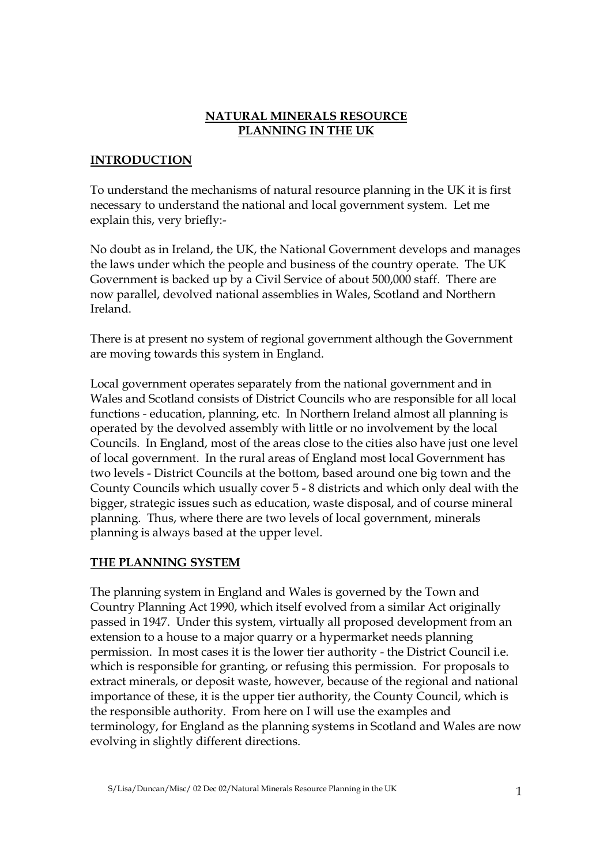## NATURAL MINERALS RESOURCE PLANNING IN THE UK

# INTRODUCTION

To understand the mechanisms of natural resource planning in the UK it is first necessary to understand the national and local government system. Let me explain this, very briefly:-

No doubt as in Ireland, the UK, the National Government develops and manages the laws under which the people and business of the country operate. The UK Government is backed up by a Civil Service of about 500,000 staff. There are now parallel, devolved national assemblies in Wales, Scotland and Northern Ireland.

There is at present no system of regional government although the Government are moving towards this system in England.

Local government operates separately from the national government and in Wales and Scotland consists of District Councils who are responsible for all local functions - education, planning, etc. In Northern Ireland almost all planning is operated by the devolved assembly with little or no involvement by the local Councils. In England, most of the areas close to the cities also have just one level of local government. In the rural areas of England most local Government has two levels - District Councils at the bottom, based around one big town and the County Councils which usually cover 5 - 8 districts and which only deal with the bigger, strategic issues such as education, waste disposal, and of course mineral planning. Thus, where there are two levels of local government, minerals planning is always based at the upper level.

## THE PLANNING SYSTEM

The planning system in England and Wales is governed by the Town and Country Planning Act 1990, which itself evolved from a similar Act originally passed in 1947. Under this system, virtually all proposed development from an extension to a house to a major quarry or a hypermarket needs planning permission. In most cases it is the lower tier authority - the District Council i.e. which is responsible for granting, or refusing this permission. For proposals to extract minerals, or deposit waste, however, because of the regional and national importance of these, it is the upper tier authority, the County Council, which is the responsible authority. From here on I will use the examples and terminology, for England as the planning systems in Scotland and Wales are now evolving in slightly different directions.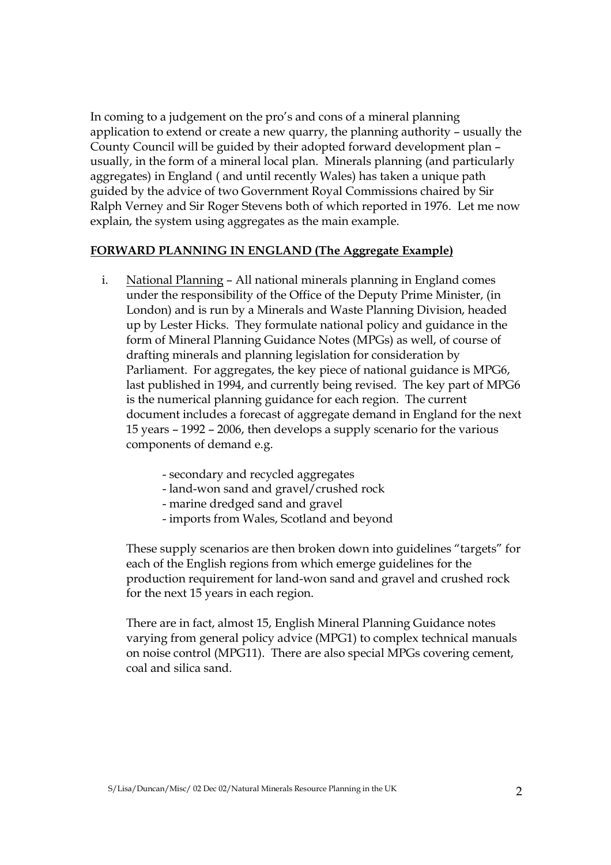In coming to a judgement on the pro's and cons of a mineral planning application to extend or create a new quarry, the planning authority – usually the County Council will be guided by their adopted forward development plan – usually, in the form of a mineral local plan. Minerals planning (and particularly aggregates) in England ( and until recently Wales) has taken a unique path guided by the advice of two Government Royal Commissions chaired by Sir Ralph Verney and Sir Roger Stevens both of which reported in 1976. Let me now explain, the system using aggregates as the main example.

### FORWARD PLANNING IN ENGLAND (The Aggregate Example)

- i. National Planning All national minerals planning in England comes under the responsibility of the Office of the Deputy Prime Minister, (in London) and is run by a Minerals and Waste Planning Division, headed up by Lester Hicks. They formulate national policy and guidance in the form of Mineral Planning Guidance Notes (MPGs) as well, of course of drafting minerals and planning legislation for consideration by Parliament. For aggregates, the key piece of national guidance is MPG6, last published in 1994, and currently being revised. The key part of MPG6 is the numerical planning guidance for each region. The current document includes a forecast of aggregate demand in England for the next 15 years – 1992 – 2006, then develops a supply scenario for the various components of demand e.g.
	- secondary and recycled aggregates
	- land-won sand and gravel/crushed rock
	- marine dredged sand and gravel
	- imports from Wales, Scotland and beyond

 These supply scenarios are then broken down into guidelines "targets" for each of the English regions from which emerge guidelines for the production requirement for land-won sand and gravel and crushed rock for the next 15 years in each region.

 There are in fact, almost 15, English Mineral Planning Guidance notes varying from general policy advice (MPG1) to complex technical manuals on noise control (MPG11). There are also special MPGs covering cement, coal and silica sand.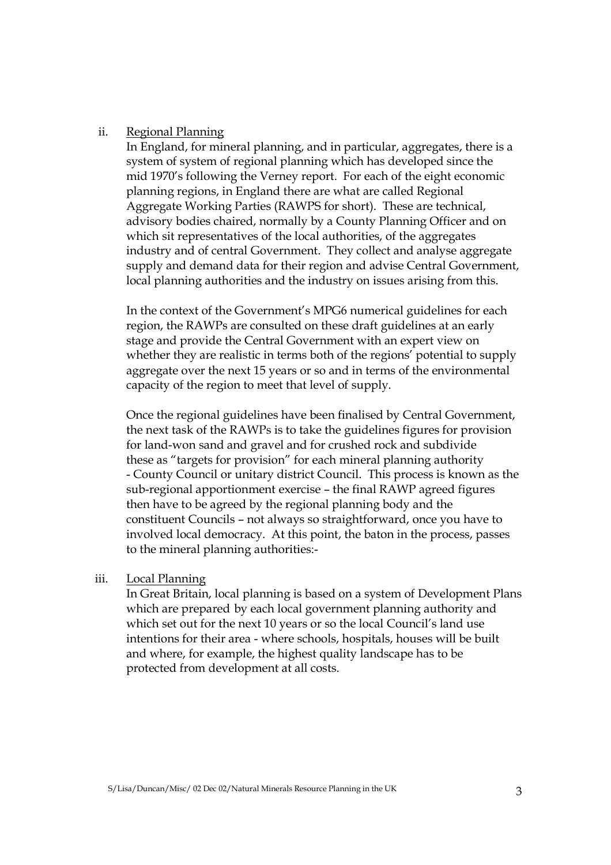### ii. Regional Planning

 In England, for mineral planning, and in particular, aggregates, there is a system of system of regional planning which has developed since the mid 1970's following the Verney report. For each of the eight economic planning regions, in England there are what are called Regional Aggregate Working Parties (RAWPS for short). These are technical, advisory bodies chaired, normally by a County Planning Officer and on which sit representatives of the local authorities, of the aggregates industry and of central Government. They collect and analyse aggregate supply and demand data for their region and advise Central Government, local planning authorities and the industry on issues arising from this.

 In the context of the Government's MPG6 numerical guidelines for each region, the RAWPs are consulted on these draft guidelines at an early stage and provide the Central Government with an expert view on whether they are realistic in terms both of the regions' potential to supply aggregate over the next 15 years or so and in terms of the environmental capacity of the region to meet that level of supply.

 Once the regional guidelines have been finalised by Central Government, the next task of the RAWPs is to take the guidelines figures for provision for land-won sand and gravel and for crushed rock and subdivide these as "targets for provision" for each mineral planning authority - County Council or unitary district Council. This process is known as the sub-regional apportionment exercise – the final RAWP agreed figures then have to be agreed by the regional planning body and the constituent Councils – not always so straightforward, once you have to involved local democracy. At this point, the baton in the process, passes to the mineral planning authorities:-

### iii. Local Planning

 In Great Britain, local planning is based on a system of Development Plans which are prepared by each local government planning authority and which set out for the next 10 years or so the local Council's land use intentions for their area - where schools, hospitals, houses will be built and where, for example, the highest quality landscape has to be protected from development at all costs.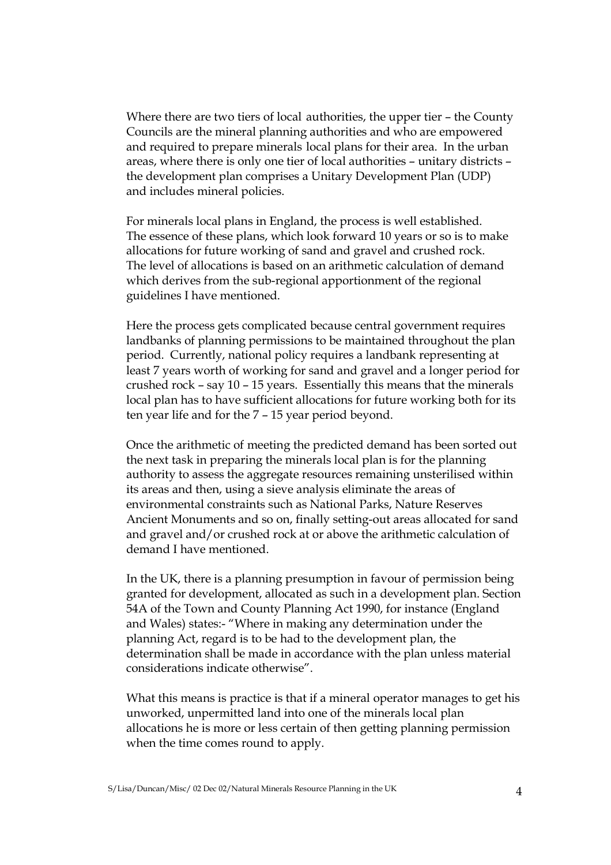Where there are two tiers of local authorities, the upper tier – the County Councils are the mineral planning authorities and who are empowered and required to prepare minerals local plans for their area. In the urban areas, where there is only one tier of local authorities – unitary districts – the development plan comprises a Unitary Development Plan (UDP) and includes mineral policies.

 For minerals local plans in England, the process is well established. The essence of these plans, which look forward 10 years or so is to make allocations for future working of sand and gravel and crushed rock. The level of allocations is based on an arithmetic calculation of demand which derives from the sub-regional apportionment of the regional guidelines I have mentioned.

Here the process gets complicated because central government requires landbanks of planning permissions to be maintained throughout the plan period. Currently, national policy requires a landbank representing at least 7 years worth of working for sand and gravel and a longer period for crushed rock – say 10 – 15 years. Essentially this means that the minerals local plan has to have sufficient allocations for future working both for its ten year life and for the 7 – 15 year period beyond.

Once the arithmetic of meeting the predicted demand has been sorted out the next task in preparing the minerals local plan is for the planning authority to assess the aggregate resources remaining unsterilised within its areas and then, using a sieve analysis eliminate the areas of environmental constraints such as National Parks, Nature Reserves Ancient Monuments and so on, finally setting-out areas allocated for sand and gravel and/or crushed rock at or above the arithmetic calculation of demand I have mentioned.

In the UK, there is a planning presumption in favour of permission being granted for development, allocated as such in a development plan. Section 54A of the Town and County Planning Act 1990, for instance (England and Wales) states:- "Where in making any determination under the planning Act, regard is to be had to the development plan, the determination shall be made in accordance with the plan unless material considerations indicate otherwise".

What this means is practice is that if a mineral operator manages to get his unworked, unpermitted land into one of the minerals local plan allocations he is more or less certain of then getting planning permission when the time comes round to apply.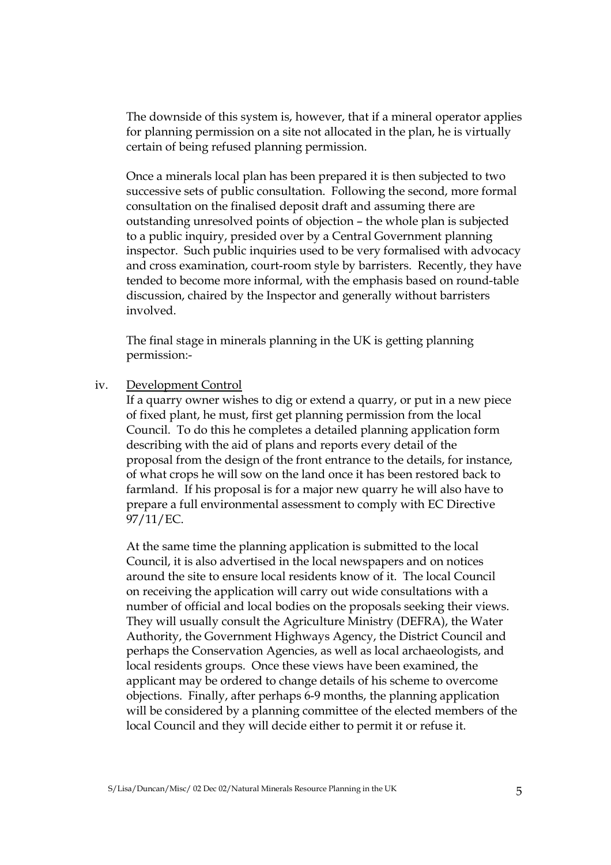The downside of this system is, however, that if a mineral operator applies for planning permission on a site not allocated in the plan, he is virtually certain of being refused planning permission.

Once a minerals local plan has been prepared it is then subjected to two successive sets of public consultation. Following the second, more formal consultation on the finalised deposit draft and assuming there are outstanding unresolved points of objection – the whole plan is subjected to a public inquiry, presided over by a Central Government planning inspector. Such public inquiries used to be very formalised with advocacy and cross examination, court-room style by barristers. Recently, they have tended to become more informal, with the emphasis based on round-table discussion, chaired by the Inspector and generally without barristers involved.

The final stage in minerals planning in the UK is getting planning permission:-

#### iv. Development Control

 If a quarry owner wishes to dig or extend a quarry, or put in a new piece of fixed plant, he must, first get planning permission from the local Council. To do this he completes a detailed planning application form describing with the aid of plans and reports every detail of the proposal from the design of the front entrance to the details, for instance, of what crops he will sow on the land once it has been restored back to farmland. If his proposal is for a major new quarry he will also have to prepare a full environmental assessment to comply with EC Directive 97/11/EC.

 At the same time the planning application is submitted to the local Council, it is also advertised in the local newspapers and on notices around the site to ensure local residents know of it. The local Council on receiving the application will carry out wide consultations with a number of official and local bodies on the proposals seeking their views. They will usually consult the Agriculture Ministry (DEFRA), the Water Authority, the Government Highways Agency, the District Council and perhaps the Conservation Agencies, as well as local archaeologists, and local residents groups. Once these views have been examined, the applicant may be ordered to change details of his scheme to overcome objections. Finally, after perhaps 6-9 months, the planning application will be considered by a planning committee of the elected members of the local Council and they will decide either to permit it or refuse it.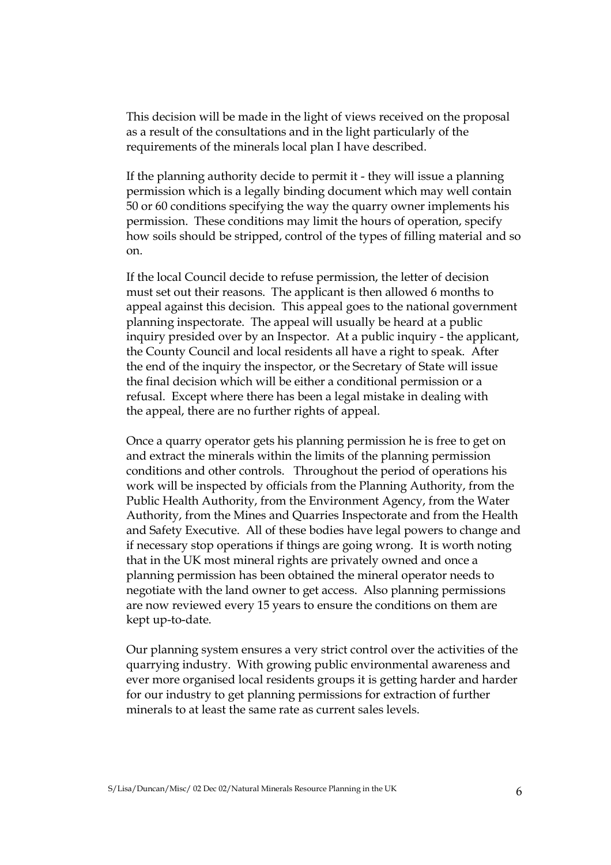This decision will be made in the light of views received on the proposal as a result of the consultations and in the light particularly of the requirements of the minerals local plan I have described.

 If the planning authority decide to permit it - they will issue a planning permission which is a legally binding document which may well contain 50 or 60 conditions specifying the way the quarry owner implements his permission. These conditions may limit the hours of operation, specify how soils should be stripped, control of the types of filling material and so on.

 If the local Council decide to refuse permission, the letter of decision must set out their reasons. The applicant is then allowed 6 months to appeal against this decision. This appeal goes to the national government planning inspectorate. The appeal will usually be heard at a public inquiry presided over by an Inspector. At a public inquiry - the applicant, the County Council and local residents all have a right to speak. After the end of the inquiry the inspector, or the Secretary of State will issue the final decision which will be either a conditional permission or a refusal. Except where there has been a legal mistake in dealing with the appeal, there are no further rights of appeal.

 Once a quarry operator gets his planning permission he is free to get on and extract the minerals within the limits of the planning permission conditions and other controls. Throughout the period of operations his work will be inspected by officials from the Planning Authority, from the Public Health Authority, from the Environment Agency, from the Water Authority, from the Mines and Quarries Inspectorate and from the Health and Safety Executive. All of these bodies have legal powers to change and if necessary stop operations if things are going wrong. It is worth noting that in the UK most mineral rights are privately owned and once a planning permission has been obtained the mineral operator needs to negotiate with the land owner to get access. Also planning permissions are now reviewed every 15 years to ensure the conditions on them are kept up-to-date.

 Our planning system ensures a very strict control over the activities of the quarrying industry. With growing public environmental awareness and ever more organised local residents groups it is getting harder and harder for our industry to get planning permissions for extraction of further minerals to at least the same rate as current sales levels.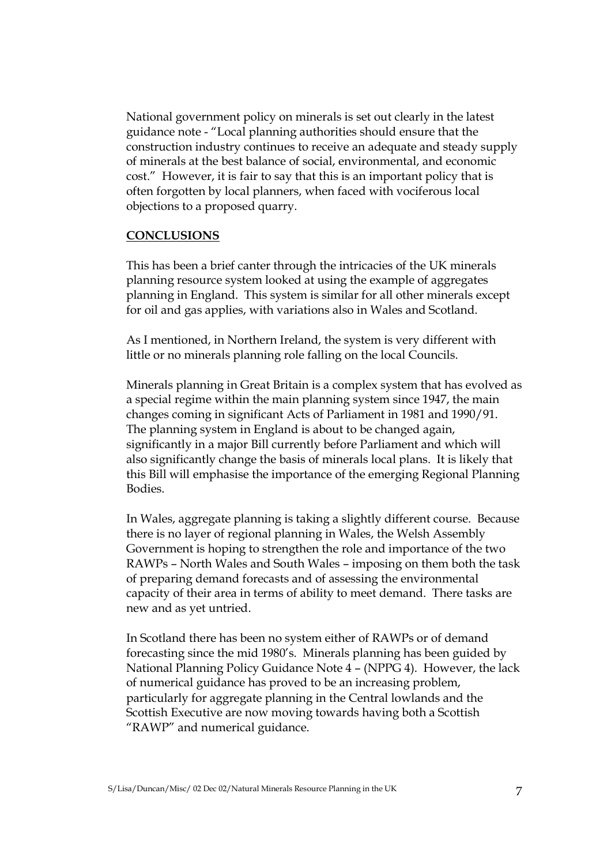National government policy on minerals is set out clearly in the latest guidance note - "Local planning authorities should ensure that the construction industry continues to receive an adequate and steady supply of minerals at the best balance of social, environmental, and economic cost." However, it is fair to say that this is an important policy that is often forgotten by local planners, when faced with vociferous local objections to a proposed quarry.

#### **CONCLUSIONS**

This has been a brief canter through the intricacies of the UK minerals planning resource system looked at using the example of aggregates planning in England. This system is similar for all other minerals except for oil and gas applies, with variations also in Wales and Scotland.

As I mentioned, in Northern Ireland, the system is very different with little or no minerals planning role falling on the local Councils.

Minerals planning in Great Britain is a complex system that has evolved as a special regime within the main planning system since 1947, the main changes coming in significant Acts of Parliament in 1981 and 1990/91. The planning system in England is about to be changed again, significantly in a major Bill currently before Parliament and which will also significantly change the basis of minerals local plans. It is likely that this Bill will emphasise the importance of the emerging Regional Planning Bodies.

In Wales, aggregate planning is taking a slightly different course. Because there is no layer of regional planning in Wales, the Welsh Assembly Government is hoping to strengthen the role and importance of the two RAWPs – North Wales and South Wales – imposing on them both the task of preparing demand forecasts and of assessing the environmental capacity of their area in terms of ability to meet demand. There tasks are new and as yet untried.

In Scotland there has been no system either of RAWPs or of demand forecasting since the mid 1980's. Minerals planning has been guided by National Planning Policy Guidance Note 4 – (NPPG 4). However, the lack of numerical guidance has proved to be an increasing problem, particularly for aggregate planning in the Central lowlands and the Scottish Executive are now moving towards having both a Scottish "RAWP" and numerical guidance.